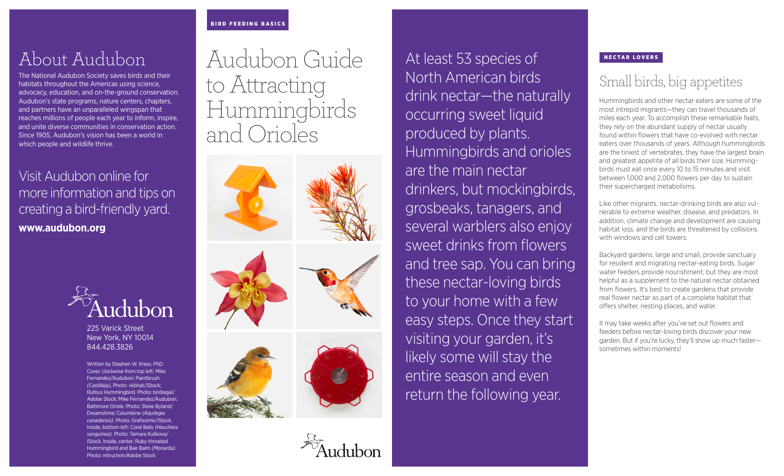#### BIRD FEEDING BASICS

## About Audubon

The National Audubon Society saves birds and their habitats throughout the Americas using science, advocacy, education, and on-the-ground conservation. Audubon's state programs, nature centers, chapters, and partners have an unparalleled wingspan that reaches millions of people each year to inform, inspire, and unite diverse communities in conservation action. Since 1905, Audubon's vision has been a world in which people and wildlife thrive.

### Visit Audubon online for more information and tips on creating a bird-friendly yard. **www.audubon.org**



225 Varick Street New York, NY 10014 844.428.3826

Written by Stephen W. Kress, PhD. Cover, clockwise from top left: Mike Fernandez/Audubon; Paintbrush *(Castilleja)*, Photo: vkbhat/iStock; Rufous Hummingbird. Photo: birdiegal/ Adobe Stock; Mike Fernandez/Audubon; Baltimore Oriole. Photo: Steve Byland/ Dreamstime; Columbine *(Aquilegia canadensis)*. Photo: Grafissimo/iStock. Inside, bottom left: Coral Bells *(Heuchera sanguinea).* Photo: Tamara Kulikova/ iStock. Inside, center: Ruby-throated Hummingbird and Bee Balm *(Monarda)*. Photo: mtruchon/Adobe Stock

# Audubon Guide to Attracting Hummingbirds and Orioles









At least 53 species of North American birds drink nectar—the naturally occurring sweet liquid produced by plants. Hummingbirds and orioles are the main nectar drinkers, but mockingbirds, grosbeaks, tanagers, and several warblers also enjoy sweet drinks from flowers and tree sap. You can bring these nectar-loving birds to your home with a few easy steps. Once they start visiting your garden, it's likely some will stay the entire season and even return the following year.

#### NECTAR LOVERS

### Small birds, big appetites

Hummingbirds and other nectar eaters are some of the most intrepid migrants—they can travel thousands of miles each year. To accomplish these remarkable feats, they rely on the abundant supply of nectar usually found within flowers that have co-evolved with nectar eaters over thousands of years. Although hummingbirds are the tiniest of vertebrates, they have the largest brain and greatest appetite of all birds their size. Hummingbirds must eat once every 10 to 15 minutes and visit between 1,000 and 2,000 flowers per day to sustain their supercharged metabolisms.

Like other migrants, nectar-drinking birds are also vulnerable to extreme weather, disease, and predators. In addition, climate change and development are causing habitat loss, and the birds are threatened by collisions with windows and cell towers.

Backyard gardens, large and small, provide sanctuary for resident and migrating nectar-eating birds. Sugar water feeders provide nourishment, but they are most helpful as a supplement to the natural nectar obtained from flowers. It's best to create gardens that provide real flower nectar as part of a complete habitat that offers shelter, nesting places, and water.

It may take weeks after you've set out flowers and feeders before nectar-loving birds discover your new garden. But if you're lucky, they'll show up much faster sometimes within moments!